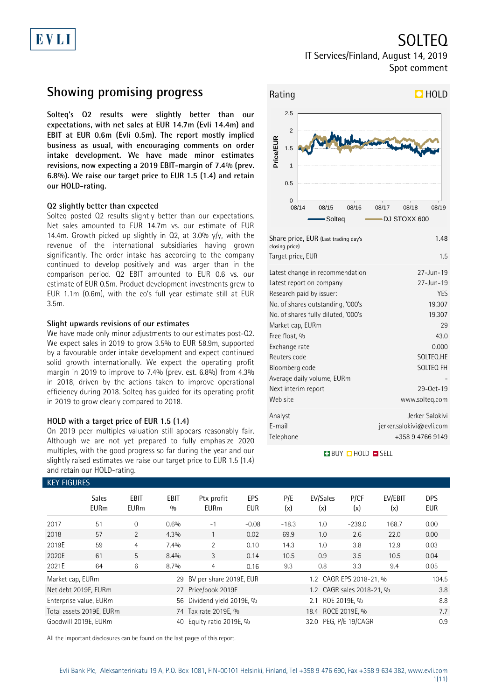# EVLI

SOLTEQ

IT Services/Finland, August 14, 2019 Spot comment

## **Showing promising progress**

**Solteq's Q2 results were slightly better than our expectations, with net sales at EUR 14.7m (Evli 14.4m) and EBIT at EUR 0.6m (Evli 0.5m). The report mostly implied business as usual, with encouraging comments on order intake development. We have made minor estimates revisions, now expecting a 2019 EBIT-margin of 7.4% (prev. 6.8%). We raise our target price to EUR 1.5 (1.4) and retain our HOLD-rating.**

### **Q2 slightly better than expected**

Solteq posted Q2 results slightly better than our expectations. Net sales amounted to EUR 14.7m vs. our estimate of EUR 14.4m. Growth picked up slightly in Q2, at 3.0% y/y, with the revenue of the international subsidiaries having grown significantly. The order intake has according to the company continued to develop positively and was larger than in the comparison period. Q2 EBIT amounted to EUR 0.6 vs. our estimate of EUR 0.5m. Product development investments grew to EUR 1.1m (0.6m), with the co's full year estimate still at EUR 3.5m.

### **Slight upwards revisions of our estimates**

We have made only minor adjustments to our estimates post-Q2. We expect sales in 2019 to grow 3.5% to EUR 58.9m, supported by a favourable order intake development and expect continued solid growth internationally. We expect the operating profit margin in 2019 to improve to 7.4% (prev. est. 6.8%) from 4.3% in 2018, driven by the actions taken to improve operational efficiency during 2018. Solteq has guided for its operating profit in 2019 to grow clearly compared to 2018.

### **HOLD with a target price of EUR 1.5 (1.4)**

On 2019 peer multiples valuation still appears reasonably fair. Although we are not yet prepared to fully emphasize 2020 multiples, with the good progress so far during the year and our slightly raised estimates we raise our target price to EUR 1.5 (1.4) and retain our HOLD-rating.



| Target price, EUR                   | 1.5                      |
|-------------------------------------|--------------------------|
| Latest change in recommendation     | $27 - Jun - 19$          |
| Latest report on company            | $27 - \text{Jun} - 19$   |
| Research paid by issuer:            | YES                      |
| No. of shares outstanding, '000's   | 19,307                   |
| No. of shares fully diluted, '000's | 19,307                   |
| Market cap, EURm                    | 29                       |
| Free float, %                       | 43.0                     |
| Exchange rate                       | 0.000                    |
| Reuters code                        | SOLTEQ.HE                |
| Bloomberg code                      | SOLTEQ FH                |
| Average daily volume, EURm          |                          |
| Next interim report                 | 29-0ct-19                |
| Web site                            | www.solteg.com           |
| Analyst                             | Jerker Salokivi          |
| E-mail                              | jerker.salokivi@evli.com |
| Telephone                           | +358 9 4766 9149         |

### **BUY QHOLD SELL**

| <b>KEY FIGURES</b> |                             |                     |                    |                            |                   |            |                       |                           |                |                          |
|--------------------|-----------------------------|---------------------|--------------------|----------------------------|-------------------|------------|-----------------------|---------------------------|----------------|--------------------------|
|                    | <b>Sales</b><br><b>EURm</b> | EBIT<br><b>EURm</b> | <b>EBIT</b><br>0/0 | Ptx profit<br><b>EURm</b>  | EPS<br><b>EUR</b> | P/E<br>(x) | EV/Sales<br>(x)       | P/CF<br>(x)               | EV/EBIT<br>(x) | <b>DPS</b><br><b>EUR</b> |
| 2017               | 51                          | $\Omega$            | 0.6%               | $-1$                       | $-0.08$           | $-18.3$    | 1.0                   | $-239.0$                  | 168.7          | 0.00                     |
| 2018               | 57                          | $\overline{2}$      | 4.3%               |                            | 0.02              | 69.9       | 1.0                   | 2.6                       | 22.0           | 0.00                     |
| 2019E              | 59                          | 4                   | 7.4%               | $\overline{2}$             | 0.10              | 14.3       | 1.0                   | 3.8                       | 12.9           | 0.03                     |
| 2020E              | 61                          | 5                   | 8.4%               | 3                          | 0.14              | 10.5       | 0.9                   | 3.5                       | 10.5           | 0.04                     |
| 2021E              | 64                          | 6                   | 8.7%               | 4                          | 0.16              | 9.3        | 0.8                   | 3.3                       | 9.4            | 0.05                     |
| Market cap, EURm   |                             |                     | 29                 | BV per share 2019E, EUR    |                   |            |                       | 1.2 CAGR EPS 2018-21, %   |                | 104.5                    |
|                    | Net debt 2019E, EURm        |                     | 27                 | Price/book 2019E           |                   |            |                       | 1.2 CAGR sales 2018-21, % |                | 3.8                      |
|                    | Enterprise value, EURm      |                     |                    | 56 Dividend yield 2019E, % |                   |            | 2.1 ROE 2019E, %      |                           |                | 8.8                      |
|                    | Total assets 2019E, EURm    |                     |                    | 74 Tax rate 2019E, %       |                   |            | 18.4 ROCE 2019E, %    |                           |                | 7.7                      |
|                    | Goodwill 2019E. EURm        |                     | 40                 | Equity ratio 2019E, %      |                   |            | 32.0 PEG, P/E 19/CAGR |                           |                | 0.9                      |

All the important disclosures can be found on the last pages of this report.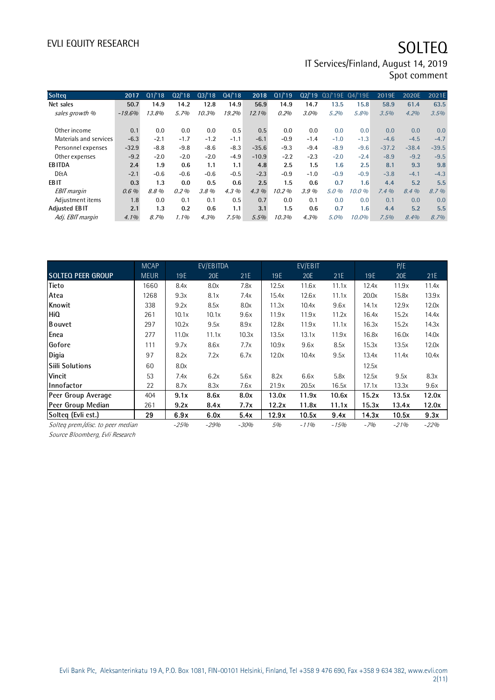# EVLI EQUITY RESEARCH SOLTEQ

IT Services/Finland, August 14, 2019 Spot comment

| <b>Solteg</b>          | 2017     | Q1/18  | Q2'18   | Q3/18  | Q4/18   | 2018     | Q1/19  | Q2/19  | Q3/'19E Q4/'19E |        | 2019E   | 2020E   | 2021E   |
|------------------------|----------|--------|---------|--------|---------|----------|--------|--------|-----------------|--------|---------|---------|---------|
| Net sales              | 50.7     | 14.9   | 14.2    | 12.8   | 14.9    | 56.9     | 14.9   | 14.7   | 13.5            | 15.8   | 58.9    | 61.4    | 63.5    |
| sales growth %         | $-19.6%$ | 13.8%  | 5.7%    | 10.3%  | 19.2%   | $12.1\%$ | 0.2%   | 3.0%   | 5.2%            | 5.8%   | 3.5%    | 4.2%    | 3.5%    |
|                        |          |        |         |        |         |          |        |        |                 |        |         |         |         |
| Other income           | 0.1      | 0.0    | 0.0     | 0.0    | 0.5     | 0.5      | 0.0    | 0.0    | 0.0             | 0.0    | 0.0     | 0.0     | 0.0     |
| Materials and services | $-6.3$   | $-2.1$ | $-1.7$  | $-1.2$ | $-1.1$  | $-6.1$   | $-0.9$ | $-1.4$ | $-1.0$          | $-1.3$ | $-4.6$  | $-4.5$  | $-4.7$  |
| Personnel expenses     | $-32.9$  | $-8.8$ | $-9.8$  | $-8.6$ | $-8.3$  | $-35.6$  | $-9.3$ | $-9.4$ | $-8.9$          | $-9.6$ | $-37.2$ | $-38.4$ | $-39.5$ |
| Other expenses         | $-9.2$   | $-2.0$ | $-2.0$  | $-2.0$ | $-4.9$  | $-10.9$  | $-2.2$ | $-2.3$ | $-2.0$          | $-2.4$ | $-8.9$  | $-9.2$  | $-9.5$  |
| <b>EBITDA</b>          | 2.4      | 1.9    | 0.6     | 1.1    | 1.1     | 4.8      | 2.5    | 1.5    | 1.6             | 2.5    | 8.1     | 9.3     | 9.8     |
| <b>D&amp;A</b>         | $-2.1$   | $-0.6$ | $-0.6$  | $-0.6$ | $-0.5$  | $-2.3$   | $-0.9$ | $-1.0$ | $-0.9$          | $-0.9$ | $-3.8$  | $-4.1$  | $-4.3$  |
| <b>EBIT</b>            | 0.3      | 1.3    | 0.0     | 0.5    | 0.6     | 2.5      | 1.5    | 0.6    | 0.7             | 1.6    | 4.4     | 5.2     | 5.5     |
| <b>EBIT</b> margin     | $0.6\%$  | 8.8%   | 0.2%    | 3.8%   | $4.3\%$ | $4.3\%$  | 10.2%  | 3.9%   | 5.0%            | 10.0%  | 7.4%    | 8.4%    | 8.7%    |
| Adjustment items       | 1.8      | 0.0    | 0.1     | 0.1    | 0.5     | 0.7      | 0.0    | 0.1    | 0.0             | 0.0    | 0.1     | 0.0     | 0.0     |
| <b>Adjusted EBIT</b>   | 2.1      | 1.3    | 0.2     | 0.6    | 1.1     | 3.1      | 1.5    | 0.6    | 0.7             | 1.6    | 4.4     | 5.2     | 5.5     |
| Adj. EBIT margin       | $4.1\%$  | 8.7%   | $1.1\%$ | 4.3%   | 7.5%    | 5.5%     | 10.3%  | 4.3%   | 5.0%            | 10.0%  | 7.5%    | 8.4%    | 8.7%    |

|                                   | <b>MCAP</b> |        | EV/EBITDA |        |       | EV/EBIT |        |            | P/E        |        |
|-----------------------------------|-------------|--------|-----------|--------|-------|---------|--------|------------|------------|--------|
| <b>SOLTEQ PEER GROUP</b>          | <b>MEUR</b> | 19E    | 20E       | 21E    | 19E   | 20E     | 21E    | <b>19E</b> | <b>20E</b> | 21E    |
| <b>Tieto</b>                      | 1660        | 8.4x   | 8.0x      | 7.8x   | 12.5x | 11.6x   | 11.1x  | 12.4x      | 11.9x      | 11.4x  |
| Atea                              | 1268        | 9.3x   | 8.1x      | 7.4x   | 15.4x | 12.6x   | 11.1x  | 20.0x      | 15.8x      | 13.9x  |
| Knowit                            | 338         | 9.2x   | 8.5x      | 8.0x   | 11.3x | 10.4x   | 9.6x   | 14.1x      | 12.9x      | 12.0x  |
| <b>HiQ</b>                        | 261         | 10.1x  | 10.1x     | 9.6x   | 11.9x | 11.9x   | 11.2x  | 16.4x      | 15.2x      | 14.4x  |
| <b>B</b> ouvet                    | 297         | 10.2x  | 9.5x      | 8.9x   | 12.8x | 11.9x   | 11.1x  | 16.3x      | 15.2x      | 14.3x  |
| Enea                              | 277         | 11.0x  | 11.1x     | 10.3x  | 13.5x | 13.1x   | 11.9x  | 16.8x      | 16.0x      | 14.0x  |
| Gofore                            | 111         | 9.7x   | 8.6x      | 7.7x   | 10.9x | 9.6x    | 8.5x   | 15.3x      | 13.5x      | 12.0x  |
| Digia                             | 97          | 8.2x   | 7.2x      | 6.7x   | 12.0x | 10.4x   | 9.5x   | 13.4x      | 11.4x      | 10.4x  |
| <b>Silli Solutions</b>            | 60          | 8.0x   |           |        |       |         |        | 12.5x      |            |        |
| <b>Vincit</b>                     | 53          | 7.4x   | 6.2x      | 5.6x   | 8.2x  | 6.6x    | 5.8x   | 12.5x      | 9.5x       | 8.3x   |
| Innofactor                        | 22          | 8.7x   | 8.3x      | 7.6x   | 21.9x | 20.5x   | 16.5x  | 17.1x      | 13.3x      | 9.6x   |
| Peer Group Average                | 404         | 9.1x   | 8.6x      | 8.0x   | 13.0x | 11.9x   | 10.6x  | 15.2x      | 13.5x      | 12.0x  |
| Peer Group Median                 | 261         | 9.2x   | 8.4x      | 7.7x   | 12.2x | 11.8x   | 11.1x  | 15.3x      | 13.4x      | 12.0x  |
| Solteq (Evli est.)                | 29          | 6.9x   | 6.0x      | 5.4x   | 12.9x | 10.5x   | 9.4x   | 14.3x      | 10.5x      | 9.3x   |
| Solteg prem./disc. to peer median |             | $-25%$ | $-29%$    | $-30%$ | 5%    | $-11%$  | $-15%$ | $-7%$      | $-21%$     | $-22%$ |

Source Bloomberg, Evli Research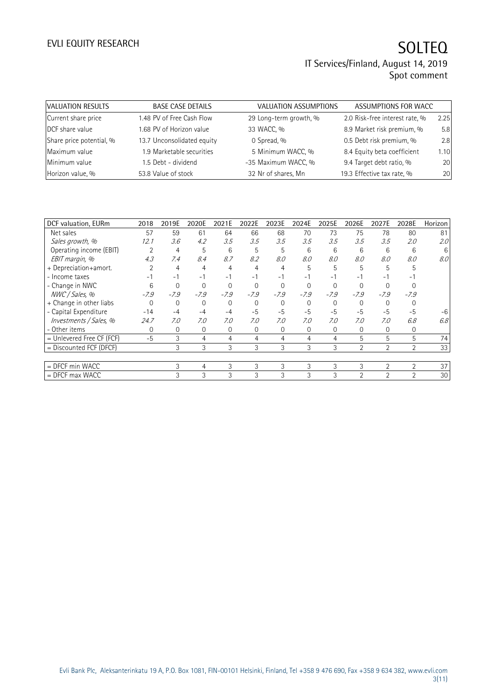| VALUATION RESULTS        | <b>BASE CASE DETAILS</b>   | VALUATION ASSUMPTIONS  | ASSUMPTIONS FOR WACC           |      |
|--------------------------|----------------------------|------------------------|--------------------------------|------|
| Current share price      | 1.48 PV of Free Cash Flow  | 29 Long-term growth, % | 2.0 Risk-free interest rate, % | 2.25 |
| DCF share value          | 1.68 PV of Horizon value   | 33 WACC, %             | 8.9 Market risk premium, %     | 5.8  |
| Share price potential, % | 13.7 Unconsolidated equity | 0 Spread, %            | 0.5 Debt risk premium, %       | 2.8  |
| Maximum value            | 1.9 Marketable securities  | 5 Minimum WACC, %      | 8.4 Equity beta coefficient    | 1.10 |
| Minimum value            | 1.5 Debt - dividend        | -35 Maximum WACC, %    | 9.4 Target debt ratio, %       | 20   |
| Horizon value, %         | 53.8 Value of stock        | 32 Nr of shares, Mn    | 19.3 Effective tax rate, %     | 20   |

| DCF valuation, EURm         | 2018           | 2019E       | 2020E    | 2021E    | 2022E    | 2023E    | 2024E    | 2025E          | 2026E          | 2027E          | 2028E          | Horizon          |
|-----------------------------|----------------|-------------|----------|----------|----------|----------|----------|----------------|----------------|----------------|----------------|------------------|
| Net sales                   | 57             | 59          | 61       | 64       | 66       | 68       | 70       | 73             | 75             | 78             | 80             | 81               |
| Sales growth, %             | 12.1           | 3.6         | 4.2      | 3.5      | 3.5      | 3.5      | 3.5      | 3.5            | 3.5            | 3.5            | 2.0            | 2.0              |
| Operating income (EBIT)     | $\overline{2}$ | 4           | 5        | 6        | 5        | 5        | 6        | 6              | 6              | 6              | 6              | 6                |
| EBIT margin, %              | 4.3            | 7.4         | 8.4      | 8.7      | 8.2      | 8.0      | 8.0      | 8.0            | 8.0            | 8.0            | 8.0            | 8.0 <sub>1</sub> |
| + Depreciation+amort.       |                | 4           | 4        | 4        | 4        | 4        | 5        | 5              | 5              | 5              | 5              |                  |
| - Income taxes              | -1             | $-1$        | $-1$     | $-1$     | $-1$     | $-1$     | $-1$     | $-1$           | $-1$           | - 1            | - 1            |                  |
| - Change in NWC             | 6              | $\Omega$    | $\Omega$ | $\Omega$ | $\Omega$ | $\Omega$ | $\Omega$ | $\Omega$       |                |                |                |                  |
| NWC / Sales, %              | $-7.9$         | $-7.9$      | $-7.9$   | $-7.9$   | $-7.9$   | $-7.9$   | $-7.9$   | $-7.9$         | $-7.9$         | $-7.9$         | $-7.9$         |                  |
| + Change in other liabs     | $\Omega$       | $\mathbf 0$ | 0        | 0        | 0        | 0        | 0        | 0              | 0              | 0              |                |                  |
| - Capital Expenditure       | $-14$          | $-4$        | $-4$     | $-4$     | $-5$     | $-5$     | $-5$     | $-5$           | $-5$           | $-5$           | $-5$           | $-6$             |
| Investments / Sales, %      | 24.7           | 7.0         | 7.0      | 7.0      | 7.0      | 7.0      | 7.0      | 7.0            | 7.0            | 7.0            | 6.8            | 6.8              |
| - Other items               | $\Omega$       | $\mathbf 0$ | 0        | 0        | 0        | $\Omega$ | 0        | 0              | 0              | 0              | 0              |                  |
| $=$ Unlevered Free CF (FCF) | $-5$           | 3           | 4        | 4        | 4        | 4        | 4        | $\overline{4}$ | 5              | 5              | 5              | 74               |
| = Discounted FCF (DFCF)     |                | 3           | 3        | 3        | 3        | 3        | 3        | 3              | $\overline{2}$ | $\overline{2}$ | $\overline{2}$ | 33               |
|                             |                |             |          |          |          |          |          |                |                |                |                |                  |
| = DFCF min WACC             |                | 3           | 4        | 3        | 3        | 3        | 3        | 3              | 3              | $\overline{2}$ | $\overline{2}$ | 37               |
| $=$ DFCF max WACC           |                | 3           | 3        | 3        | 3        | 3        | 3        | 3              | $\overline{2}$ | $\overline{2}$ | $\overline{2}$ | 30               |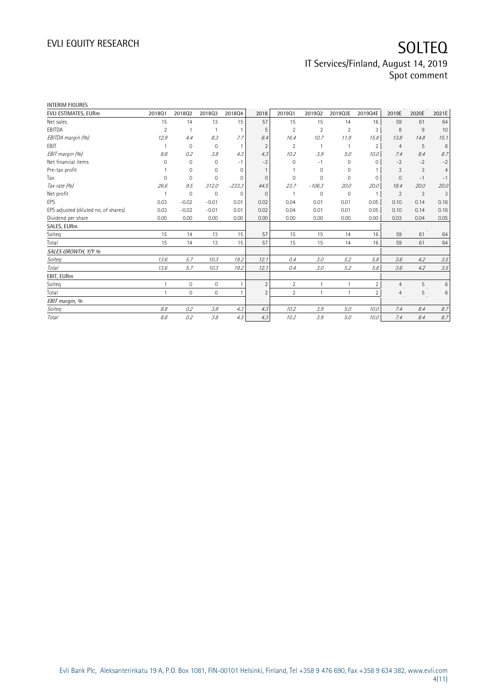| <b>INTERIM FIGURES</b>               |                |              |                     |             |                |                |                |                |                |                |       |                |
|--------------------------------------|----------------|--------------|---------------------|-------------|----------------|----------------|----------------|----------------|----------------|----------------|-------|----------------|
| EVLI ESTIMATES, EURm                 | 201801         | 201802       | 201803              | 201804      | 2018           | 201901         | 201902         | 2019Q3E        | 2019Q4E        | 2019E          | 2020E | 2021E          |
| Net sales                            | 15             | 14           | 13                  | 15          | 57             | 15             | 15             | 14             | 16             | 59             | 61    | 64             |
| EBITDA                               | $\overline{2}$ |              |                     |             | 5              | $\overline{2}$ | $\overline{2}$ | $\overline{2}$ | 3              | 8              | 9     | 10             |
| EBITDA margin (%)                    | 12.9           | 4.4          | 8.3                 | 7.7         | 8.4            | 16.4           | 10.7           | 11.9           | 15.8           | 13.8           | 14.8  | 15.1           |
| EBIT                                 |                | $\mathbf{0}$ | $\mathbf{0}$        |             | $\overline{2}$ | $\overline{2}$ |                |                | $\overline{2}$ | $\overline{4}$ | 5     | $\,6$          |
| EBIT margin (%)                      | 8.8            | 0.2          | 3.8                 | 4.3         | 4.3            | 10.2           | 3.9            | 5.0            | 10.0           | 7.4            | 8.4   | 8.7            |
| Net financial items                  | 0              | $\mathbf 0$  | $\mathbf{0}$        | $-1$        | $-2$           | $\Omega$       | $-1$           | 0              | 0              | $-2$           | $-2$  | $-2$           |
| Pre-tax profit                       |                | $\mathbf 0$  | $\mathbf 0$         | $\mathbf 0$ |                |                | 0              | 0              |                | $\overline{2}$ | 3     | $\overline{4}$ |
| Tax                                  | 0              | $\Omega$     | $\mathbf 0$         | $\Omega$    | $\Omega$       | $\Omega$       | $\Omega$       | $\Omega$       | $\Omega$       | $\Omega$       | $-1$  | $-1$           |
| Tax rate (%)                         | 26.6           | 9.5          | 312.0               | $-233.3$    | 44.5           | 23.7           | $-106.3$       | 20.0           | 20.0           | 18.4           | 20.0  | 20.0           |
| Net profit                           |                | $\mathbf 0$  | $\mathbf{0}$        | $\Omega$    | $\mathbf{0}$   |                | 0              | $\mathbf 0$    |                | 2              | 3     | 3              |
| EPS                                  | 0.03           | $-0.02$      | $-0.01$             | 0.01        | 0.02           | 0.04           | 0.01           | 0.01           | 0.05           | 0.10           | 0.14  | 0.16           |
| EPS adjusted (diluted no. of shares) | 0.03           | $-0.02$      | $-0.01$             | 0.01        | 0.02           | 0.04           | 0.01           | 0.01           | 0.05           | 0.10           | 0.14  | 0.16           |
| Dividend per share                   | 0.00           | 0.00         | 0.00                | 0.00        | 0.00           | 0.00           | 0.00           | 0.00           | 0.00           | 0.03           | 0.04  | 0.05           |
| SALES, EURm                          |                |              |                     |             |                |                |                |                |                |                |       |                |
| Solteq                               | 15             | 14           | 13                  | 15          | 57             | 15             | 15             | 14             | 16             | 59             | 61    | 64             |
| Total                                | 15             | 14           | 13                  | 15          | 57             | 15             | 15             | 14             | 16             | 59             | 61    | 64             |
| SALES GROWTH, Y/Y %                  |                |              |                     |             |                |                |                |                |                |                |       |                |
| Solteg                               | 13.6           | 5.7          | 10.3                | 19.2        | 12.1           | 0.4            | 3.0            | 5.2            | 5.8            | 3.6            | 4.2   | 3.5            |
| Total                                | 13.6           | 5.7          | 10.3                | 19.2        | 12.1           | 0.4            | 3.0            | 5.2            | 5.8            | 3.6            | 4.2   | 3.5            |
| EBIT, EURm                           |                |              |                     |             |                |                |                |                |                |                |       |                |
| Solteg                               | 1              | $\mathbf 0$  | $\mathsf{O}\xspace$ |             | $\overline{2}$ | $\overline{2}$ |                |                | $\overline{2}$ | $\overline{4}$ | 5     | 6              |
| Total                                | $\mathbf{1}$   | $\mathbf 0$  | $\mathbf 0$         |             | $\overline{2}$ | $\overline{2}$ |                | $\mathbf{1}$   | $\overline{2}$ | $\overline{4}$ | 5     | 6              |
| EBIT margin, %                       |                |              |                     |             |                |                |                |                |                |                |       |                |
| <b>Solteg</b>                        | 8.8            | 0.2          | 3.8                 | 4.3         | 4.3            | 10.2           | 3.9            | 5.0            | 10.0           | 7.4            | 8.4   | 8.7            |
| Total                                | 8.8            | 0.2          | 3.8                 | 4.3         | 4.3            | 10.2           | 3.9            | 5.0            | 10.0           | 7.4            | 8.4   | 8.7            |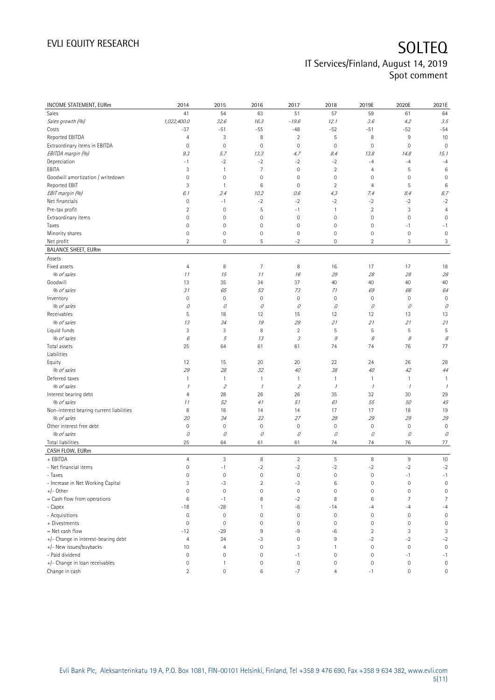| INCOME STATEMENT, EURm                   | 2014                       | 2015                      | 2016                | 2017                                                                                                                                                                                                                                                                                                                                                                                                                                                      | 2018           | 2019E               | 2020E          | 2021E                       |
|------------------------------------------|----------------------------|---------------------------|---------------------|-----------------------------------------------------------------------------------------------------------------------------------------------------------------------------------------------------------------------------------------------------------------------------------------------------------------------------------------------------------------------------------------------------------------------------------------------------------|----------------|---------------------|----------------|-----------------------------|
| Sales                                    | 41                         | 54                        | 63                  | 51                                                                                                                                                                                                                                                                                                                                                                                                                                                        | 57             | 59                  | 61             | 64                          |
| Sales growth (%)                         | 1,022,400.0                | 32.6                      | 16.3                | $-19.6$                                                                                                                                                                                                                                                                                                                                                                                                                                                   | 12.1           | 3.6                 | 4.2            | 3.5                         |
| Costs                                    | $-37$                      | $-51$                     | $-55$               | $-48$                                                                                                                                                                                                                                                                                                                                                                                                                                                     | $-52$          | $-51$               | $-52$          | $-54$                       |
| Reported EBITDA                          | $\overline{4}$             | 3                         | 8                   | $\overline{2}$                                                                                                                                                                                                                                                                                                                                                                                                                                            | $\mathsf S$    | 8                   | $9\,$          | 10                          |
| Extraordinary items in EBITDA            | $\mathbf 0$                | $\mathbf 0$               | $\mathbf 0$         | $\circ$                                                                                                                                                                                                                                                                                                                                                                                                                                                   | $\mathbf 0$    | $\mathsf{O}\xspace$ | $\mathbf 0$    | $\mathbf 0$                 |
| EBITDA margin (%)                        | 9.3                        | 5.7                       | 13.3                | 4.7                                                                                                                                                                                                                                                                                                                                                                                                                                                       | 8.4            | 13.8                | 14.8           | 15.1                        |
| Depreciation                             | $-1$                       | $-2$                      | $-2$                | $-2$                                                                                                                                                                                                                                                                                                                                                                                                                                                      | $-2$           | $-4$                | $-4$           | $-4$                        |
| EBITA                                    | 3                          | $\mathbf{1}$              | $\overline{7}$      | $\circ$                                                                                                                                                                                                                                                                                                                                                                                                                                                   | $\overline{2}$ | $\overline{4}$      | 5              | 6                           |
| Goodwill amortization / writedown        | 0                          | $\mathbf 0$               | $\mathbf 0$         | 0                                                                                                                                                                                                                                                                                                                                                                                                                                                         | $\mathbf 0$    | $\mathsf{O}\xspace$ | $\mathbf 0$    | $\mathbf 0$                 |
| Reported EBIT                            | 3                          | $\mathbf{1}$              | 6                   | 0                                                                                                                                                                                                                                                                                                                                                                                                                                                         | $\overline{2}$ | $\overline{4}$      | 5              | 6                           |
| EBIT margin (%)                          | 6.1                        | 2.4                       | 10.2                | 0.6                                                                                                                                                                                                                                                                                                                                                                                                                                                       | 4.3            | 7.4                 | 8.4            | 8.7                         |
| Net financials                           | $\mathbb O$                | $-1$                      | $-2$                | $-2$                                                                                                                                                                                                                                                                                                                                                                                                                                                      | $-2$           | $-2$                | $-2$           | $-2$                        |
| Pre-tax profit                           | $\overline{2}$             | $\mathbf 0$               | 5                   | $-1$                                                                                                                                                                                                                                                                                                                                                                                                                                                      | $\mathbf{1}$   | $\sqrt{2}$          | 3              | $\overline{4}$              |
| Extraordinary items                      | $\mathbf 0$                | $\mathbf 0$               | $\mathbf 0$         | $\circ$                                                                                                                                                                                                                                                                                                                                                                                                                                                   | $\mathbf 0$    | $\mathsf{O}\xspace$ | $\mathbf 0$    | $\mathbf 0$                 |
| Taxes                                    | $\mathbf 0$                | $\mathbf 0$               | $\mathbf 0$         | $\circ$                                                                                                                                                                                                                                                                                                                                                                                                                                                   | $\mathbf 0$    | $\mathsf{O}\xspace$ | $-1$           | $-1$                        |
| Minority shares                          | 0                          | $\mathbf 0$               | $\mathbb O$         | $\mathbf 0$                                                                                                                                                                                                                                                                                                                                                                                                                                               | $\mathbf 0$    | 0                   | $\bf 0$        | $\mathbf 0$                 |
| Net profit                               | $\overline{2}$             | $\mathbf 0$               | 5                   | $-2$                                                                                                                                                                                                                                                                                                                                                                                                                                                      | $\mathbf 0$    | $\overline{2}$      | 3              | 3                           |
| <b>BALANCE SHEET, EURm</b>               |                            |                           |                     |                                                                                                                                                                                                                                                                                                                                                                                                                                                           |                |                     |                |                             |
| Assets                                   |                            |                           |                     |                                                                                                                                                                                                                                                                                                                                                                                                                                                           |                |                     |                |                             |
| Fixed assets                             | $\overline{4}$             | 8                         | $\overline{7}$      | 8                                                                                                                                                                                                                                                                                                                                                                                                                                                         | 16             | 17                  | 17             | 18                          |
| % of sales                               | 11                         | 15                        | 11                  | 16                                                                                                                                                                                                                                                                                                                                                                                                                                                        | 29             | 28                  | 28             | $2\ensuremath{\mathcal{S}}$ |
| Goodwill                                 | 13                         | 35                        | 34                  | 37                                                                                                                                                                                                                                                                                                                                                                                                                                                        | 40             | 40                  | 40             | 40                          |
| % of sales                               | 31                         | 65                        | 53                  | 73                                                                                                                                                                                                                                                                                                                                                                                                                                                        | 71             | 69                  | 66             | 64                          |
| Inventory                                | $\mathbb O$                | $\mathbf 0$               | $\mathbf 0$         | $\circ$                                                                                                                                                                                                                                                                                                                                                                                                                                                   | $\mathbf 0$    | $\mathbb O$         | $\bf 0$        | $\mathbf 0$                 |
| % of sales                               | 0                          | 0                         | 0                   | 0                                                                                                                                                                                                                                                                                                                                                                                                                                                         | 0              | 0                   | 0              | 0                           |
| Receivables                              | 5                          | 18                        | 12                  | 15                                                                                                                                                                                                                                                                                                                                                                                                                                                        | 12             | 12                  | 13             | 13                          |
| % of sales                               | 13                         | 34                        | 19                  | 29                                                                                                                                                                                                                                                                                                                                                                                                                                                        | 21             | 21                  | 21             | 21                          |
| Liquid funds                             | 3                          | 3                         | 8                   | $\overline{2}$                                                                                                                                                                                                                                                                                                                                                                                                                                            | 5              | 5                   | 5              | 5                           |
| % of sales                               | $\boldsymbol{\mathit{6}}$  | 5                         | 13                  | $\mathcal{I}% _{G}=\mathcal{I}_{G}=\mathcal{I}_{G}=\mathcal{I}_{G}=\mathcal{I}_{G}=\mathcal{I}_{G}=\mathcal{I}_{G}=\mathcal{I}_{G}=\mathcal{I}_{G}=\mathcal{I}_{G}=\mathcal{I}_{G}=\mathcal{I}_{G}=\mathcal{I}_{G}=\mathcal{I}_{G}=\mathcal{I}_{G}=\mathcal{I}_{G}=\mathcal{I}_{G}=\mathcal{I}_{G}=\mathcal{I}_{G}=\mathcal{I}_{G}=\mathcal{I}_{G}=\mathcal{I}_{G}=\mathcal{I}_{G}=\mathcal{I}_{G}=\mathcal{I}_{G}=\mathcal{I}_{G}=\mathcal{I}_{G}=\math$ | $\mathcal G$   | $\mathcal S$        | 8              | 8                           |
| Total assets                             | 25                         | 64                        | 61                  | 61                                                                                                                                                                                                                                                                                                                                                                                                                                                        | 74             | 74                  | 76             | 77                          |
| Liabilities                              |                            |                           |                     |                                                                                                                                                                                                                                                                                                                                                                                                                                                           |                |                     |                |                             |
| Equity                                   | 12                         | 15                        | 20                  | 20                                                                                                                                                                                                                                                                                                                                                                                                                                                        | 22             | 24                  | 26             | 28                          |
| % of sales                               | 29                         | 28                        | 32                  | 40                                                                                                                                                                                                                                                                                                                                                                                                                                                        | 38             | 40                  | 42             | 44                          |
| Deferred taxes                           | $\mathbf{1}$               | $\mathbf{1}$              | $\mathbf{1}$        | $\mathbf{1}$                                                                                                                                                                                                                                                                                                                                                                                                                                              | $\mathbf{1}$   | $\mathbf{1}$        | $\mathbf{1}$   | $\mathbf{1}$                |
| % of sales                               | $\boldsymbol{\mathcal{I}}$ | $\overline{2}$            | $\mathcal{I}$       | $\overline{2}$                                                                                                                                                                                                                                                                                                                                                                                                                                            | $\mathcal{I}$  | $\mathcal I$        | $\mathcal I$   | $\overline{\phantom{a}}$    |
| Interest bearing debt                    | $\overline{4}$             | 28                        | 26                  | 26                                                                                                                                                                                                                                                                                                                                                                                                                                                        | 35             | 32                  | 30             | 29                          |
| % of sales                               | 11                         | 52                        | 41                  | 51                                                                                                                                                                                                                                                                                                                                                                                                                                                        | 61             | 55                  | 50             | 45                          |
| Non-interest bearing current liabilities | 8                          | 18                        | 14                  | 14                                                                                                                                                                                                                                                                                                                                                                                                                                                        | 17             | 17                  | 18             | 19                          |
| % of sales                               | 20                         | 34                        | 22                  | 27                                                                                                                                                                                                                                                                                                                                                                                                                                                        | 29             | 29                  | 29             | 29                          |
| Other interest free debt                 | $\mathbf 0$                | $\mathbf 0$               | $\mathbf 0$         | $\circ$                                                                                                                                                                                                                                                                                                                                                                                                                                                   | $\mathbf 0$    | $\mathsf{O}\xspace$ | $\mathbf 0$    | $\mathbf 0$                 |
| % of sales                               | $\mathcal O$               | 0                         | 0                   | 0                                                                                                                                                                                                                                                                                                                                                                                                                                                         | 0              | 0                   | О              | 0                           |
| <b>Total liabilities</b>                 | 25                         | 64                        | 61                  | 61                                                                                                                                                                                                                                                                                                                                                                                                                                                        | 74             | 74                  | 76             | 77                          |
| CASH FLOW, EURm                          |                            |                           |                     |                                                                                                                                                                                                                                                                                                                                                                                                                                                           |                |                     |                |                             |
| + EBITDA                                 | $\overline{4}$             | $\ensuremath{\mathsf{3}}$ | $\, 8$              | $\sqrt{2}$                                                                                                                                                                                                                                                                                                                                                                                                                                                | $\mathsf S$    | 8                   | $9\,$          | 10                          |
| - Net financial items                    | $\mathbf 0$                | $-1$                      | $-2$                | $-2$                                                                                                                                                                                                                                                                                                                                                                                                                                                      | $-2$           | $-2$                | $-2$           | $-2$                        |
| - Taxes                                  | $\mathbb O$                | $\mathbf 0$               | $\mathsf{O}\xspace$ | $\mathbb O$                                                                                                                                                                                                                                                                                                                                                                                                                                               | $\mathbf 0$    | $\mathbb O$         | $-1$           | $-1$                        |
| - Increase in Net Working Capital        | 3                          | $-3$                      | $\overline{2}$      | $-3$                                                                                                                                                                                                                                                                                                                                                                                                                                                      | 6              | $\mathbb O$         | $\mathbf 0$    | $\mathbf 0$                 |
| $+/-$ Other                              | $\mathbf 0$                | $\mathbf 0$               | $\mathbb O$         | $\mathbf 0$                                                                                                                                                                                                                                                                                                                                                                                                                                               | $\mathbf 0$    | $\mathsf{O}\xspace$ | $\mathbf 0$    | $\mathsf{O}\xspace$         |
| = Cash flow from operations              | 6                          | $-1$                      | 8                   | $-2$                                                                                                                                                                                                                                                                                                                                                                                                                                                      | 8              | $\,6$               | $\overline{7}$ | 7                           |
| - Capex                                  | $-18$                      | $-28$                     | 1                   | -6                                                                                                                                                                                                                                                                                                                                                                                                                                                        | $-14$          | -4                  | $-4$           | $-4$                        |
| - Acquisitions                           | $\mathbb O$                | $\mathbf 0$               | $\mathbf 0$         | $\mathbf 0$                                                                                                                                                                                                                                                                                                                                                                                                                                               | $\mathbf 0$    | $\mathsf{O}\xspace$ | $\mathbf 0$    | $\mathsf{O}\xspace$         |
| + Divestments                            | $\mathbf 0$                | $\mathbf 0$               | $\mathbf 0$         | $\mathbf 0$                                                                                                                                                                                                                                                                                                                                                                                                                                               | $\mathbf 0$    | $\mathsf{O}\xspace$ | 0              | $\mathbf 0$                 |
| $=$ Net cash flow                        | $-12$                      | $-29$                     | 9                   | -9                                                                                                                                                                                                                                                                                                                                                                                                                                                        | -6             | $\sqrt{2}$          | 3              | 3                           |
| +/- Change in interest-bearing debt      | $\overline{4}$             | 24                        | -3                  | $\circ$                                                                                                                                                                                                                                                                                                                                                                                                                                                   | 9              | $-2$                | $-2$           | $-2$                        |
| +/- New issues/buybacks                  | 10                         | $\overline{4}$            | $\mathsf{O}\xspace$ | 3                                                                                                                                                                                                                                                                                                                                                                                                                                                         | $\mathbf{1}$   | $\mathsf{O}\xspace$ | $\mathbf 0$    | $\mathbf 0$                 |
| - Paid dividend                          | $\mathbb O$                | $\mathbf 0$               | $\mathsf{O}\xspace$ | $-1$                                                                                                                                                                                                                                                                                                                                                                                                                                                      | $\mathbf 0$    | $\mathsf{O}\xspace$ | $-1$           | $-1$                        |
| +/- Change in loan receivables           | $\mathsf{O}\xspace$        | 1                         | $\mathbb O$         | $\mathbf 0$                                                                                                                                                                                                                                                                                                                                                                                                                                               | $\mathbf 0$    | $\mathbb O$         | $\bf 0$        | $\mathbf 0$                 |
| Change in cash                           | $\overline{2}$             | $\mathsf{O}\xspace$       | 6                   | $-7$                                                                                                                                                                                                                                                                                                                                                                                                                                                      | $\overline{4}$ | $-1$                | $\bf 0$        | $\mathsf{O}\xspace$         |
|                                          |                            |                           |                     |                                                                                                                                                                                                                                                                                                                                                                                                                                                           |                |                     |                |                             |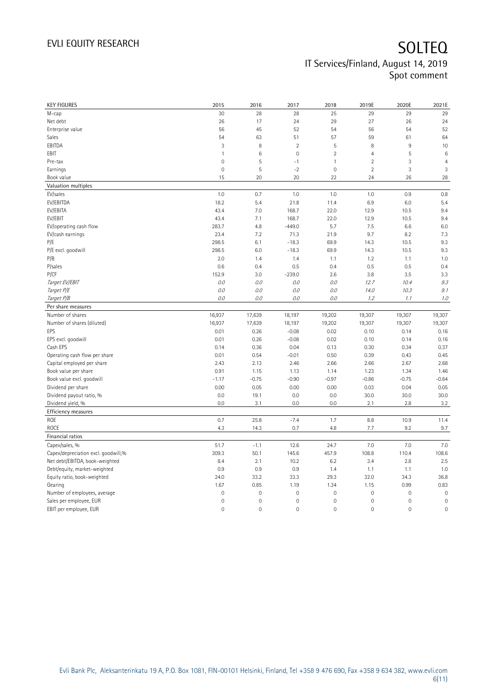| <b>KEY FIGURES</b>                  | 2015         | 2016                | 2017        | 2018           | 2019E               | 2020E               | 2021E          |
|-------------------------------------|--------------|---------------------|-------------|----------------|---------------------|---------------------|----------------|
| М-сар                               | 30           | 28                  | 28          | 25             | 29                  | 29                  | 29             |
| Net debt                            | 26           | 17                  | 24          | 29             | 27                  | 26                  | 24             |
| Enterprise value                    | 56           | 45                  | 52          | 54             | 56                  | 54                  | 52             |
| Sales                               | 54           | 63                  | 51          | 57             | 59                  | 61                  | 64             |
| EBITDA                              | 3            | 8                   | $\sqrt{2}$  | 5              | 8                   | 9                   | 10             |
| EBIT                                | $\mathbf{1}$ | $\,6$               | $\mathbf 0$ | $\overline{2}$ | $\overline{4}$      | 5                   | $6\phantom{a}$ |
| Pre-tax                             | $\mathbf{0}$ | 5                   | $-1$        | $\mathbf{1}$   | $\overline{2}$      | 3                   | $\overline{4}$ |
| Earnings                            | $\mathbf 0$  | 5                   | $-2$        | $\mathbf 0$    | $\overline{2}$      | 3                   | 3              |
| Book value                          | 15           | 20                  | 20          | 22             | 24                  | 26                  | 28             |
| Valuation multiples                 |              |                     |             |                |                     |                     |                |
| EV/sales                            | 1.0          | 0.7                 | 1.0         | 1.0            | 1.0                 | 0.9                 | 0.8            |
| EV/EBITDA                           | 18.2         | 5.4                 | 21.8        | 11.4           | 6.9                 | 6.0                 | 5.4            |
| EV/EBITA                            | 43.4         | 7.0                 | 168.7       | 22.0           | 12.9                | 10.5                | 9.4            |
| EV/EBIT                             | 43.4         | 7.1                 | 168.7       | 22.0           | 12.9                | 10.5                | 9.4            |
| EV/operating cash flow              | 283.7        | 4.8                 | $-449.0$    | 5.7            | 7.5                 | 6.6                 | 6.0            |
| EV/cash earnings                    | 23.4         | 7.2                 | 71.3        | 21.9           | 9.7                 | 8.2                 | 7.3            |
| P/E                                 | 298.5        | 6.1                 | $-18.3$     | 69.9           | 14.3                | 10.5                | 9.3            |
| P/E excl. goodwill                  | 298.5        | 6.0                 | $-18.3$     | 69.9           | 14.3                | 10.5                | 9.3            |
| P/B                                 | 2.0          | 1.4                 | 1.4         | 1.1            | 1.2                 | 1.1                 | 1.0            |
| P/sales                             | 0.6          | 0.4                 | 0.5         | 0.4            | 0.5                 | 0.5                 | 0.4            |
| P/CF                                | 152.9        | 3.0                 | $-239.0$    | 2.6            | 3.8                 | 3.5                 | 3.3            |
| Target EV/EBIT                      | 0.0          | 0.0                 | 0.0         | 0.0            | 12.7                | 10.4                | 9.3            |
| Target P/E                          | 0.0          | 0.0                 | 0.0         | 0.0            | 14.0                | 10.3                | 9.1            |
| Target P/B                          | 0.0          | 0.0                 | 0.0         | 0.0            | 1.2                 | 1.1                 | 1.0            |
| Per share measures                  |              |                     |             |                |                     |                     |                |
| Number of shares                    | 16,937       | 17,639              | 18,197      | 19,202         | 19,307              | 19,307              | 19,307         |
| Number of shares (diluted)          | 16,937       | 17,639              | 18,197      | 19,202         | 19,307              | 19,307              | 19,307         |
| EPS                                 | 0.01         | 0.26                | $-0.08$     | 0.02           | 0.10                | 0.14                | 0.16           |
| EPS excl. goodwill                  | 0.01         | 0.26                | $-0.08$     | 0.02           | 0.10                | 0.14                | 0.16           |
| Cash EPS                            | 0.14         | 0.36                | 0.04        | 0.13           | 0.30                | 0.34                | 0.37           |
| Operating cash flow per share       | 0.01         | 0.54                | $-0.01$     | 0.50           | 0.39                | 0.43                | 0.45           |
|                                     | 2.43         | 2.13                | 2.46        | 2.66           | 2.66                | 2.67                | 2.68           |
| Capital employed per share          |              |                     |             |                |                     |                     |                |
| Book value per share                | 0.91         | 1.15                | 1.13        | 1.14           | 1.23                | 1.34                | 1.46           |
| Book value excl. goodwill           | $-1.17$      | $-0.75$             | $-0.90$     | $-0.97$        | $-0.86$             | $-0.75$             | $-0.64$        |
| Dividend per share                  | 0.00         | 0.05                | 0.00        | 0.00           | 0.03                | 0.04                | 0.05           |
| Dividend payout ratio, %            | 0.0          | 19.1                | 0.0         | 0.0            | 30.0                | 30.0                | 30.0           |
| Dividend yield, %                   | 0.0          | 3.1                 | 0.0         | 0.0            | 2.1                 | 2.8                 | 3.2            |
| <b>Efficiency measures</b>          |              |                     |             |                |                     |                     |                |
| ROE                                 | 0.7          | 25.8                | $-7.4$      | 1.7            | 8.8                 | 10.9                | 11.4           |
| ROCE                                | 4.3          | 14.3                | 0.7         | 4.8            | 7.7                 | 9.2                 | 9.7            |
| Financial ratios                    |              |                     |             |                |                     |                     |                |
| Capex/sales, %                      | 51.7         | $-1.1$              | 12.6        | 24.7           | 7.0                 | 7.0                 | 7.0            |
| Capex/depreciation excl. goodwill,% | 309.3        | 50.1                | 145.6       | 457.9          | 108.8               | 110.4               | 108.6          |
| Net debt/EBITDA, book-weighted      | 8.4          | 2.1                 | 10.2        | 6.2            | 3.4                 | 2.8                 | 2.5            |
| Debt/equity, market-weighted        | 0.9          | 0.9                 | 0.9         | 1.4            | 1.1                 | 1.1                 | 1.0            |
| Equity ratio, book-weighted         | 24.0         | 33.2                | 33.3        | 29.3           | 32.0                | 34.3                | 36.8           |
| Gearing                             | 1.67         | 0.85                | 1.19        | 1.34           | 1.15                | 0.99                | 0.83           |
| Number of employees, average        | $\mathbf 0$  | $\mathsf{O}\xspace$ | $\mathbf 0$ | $\mathbf 0$    | $\mathsf{O}\xspace$ | $\mathbf 0$         | $\mathbf 0$    |
| Sales per employee, EUR             | $\mathbf 0$  | $\mathsf{O}\xspace$ | $\mathbf 0$ | $\mathbf 0$    | $\mathsf{O}\xspace$ | $\mathsf{O}\xspace$ | $\mathbf 0$    |
| EBIT per employee, EUR              | $\mathbf 0$  | $\mathsf{O}\xspace$ | $\mathbf 0$ | $\mathbf 0$    | $\mathsf{O}\xspace$ | $\mathsf{O}\xspace$ | $\mathbf 0$    |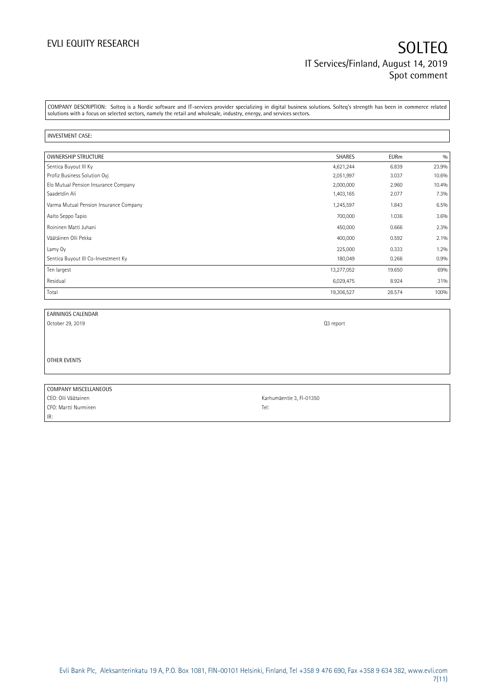COMPANY DESCRIPTION: Solteq is a Nordic software and IT-services provider specializing in digital business solutions. Solteq's strength has been in commerce related solutions with a focus on selected sectors, namely the retail and wholesale, industry, energy, and services sectors.

### INVESTMENT CASE:

IR:

| <b>OWNERSHIP STRUCTURE</b>             | <b>SHARES</b> | <b>EURm</b> | 0/0   |
|----------------------------------------|---------------|-------------|-------|
| Sentica Buyout III Ky                  | 4,621,244     | 6.839       | 23.9% |
| Profiz Business Solution Oyi           | 2,051,997     | 3.037       | 10.6% |
| Elo Mutual Pension Insurance Company   | 2,000,000     | 2.960       | 10.4% |
| Saadetdin Ali                          | 1,403,165     | 2.077       | 7.3%  |
| Varma Mutual Pension Insurance Company | 1,245,597     | 1.843       | 6.5%  |
| Aalto Seppo Tapio                      | 700,000       | 1.036       | 3.6%  |
| Roininen Matti Juhani                  | 450,000       | 0.666       | 2.3%  |
| Väätäinen Olli Pekka                   | 400,000       | 0.592       | 2.1%  |
| Lamy Oy                                | 225,000       | 0.333       | 1.2%  |
| Sentica Buyout III Co-Investment Ky    | 180,049       | 0.266       | 0.9%  |
| Ten largest                            | 13,277,052    | 19.650      | 69%   |
| Residual                               | 6,029,475     | 8.924       | 31%   |
| Total                                  | 19,306,527    | 28.574      | 100%  |

| EARNINGS CALENDAR     |                          |
|-----------------------|--------------------------|
|                       |                          |
| October 29, 2019      | Q3 report                |
|                       |                          |
|                       |                          |
|                       |                          |
| OTHER EVENTS          |                          |
|                       |                          |
|                       |                          |
| COMPANY MISCELLANEOUS |                          |
| CEO: Olli Väätainen   | Karhumäentie 3, FI-01350 |
| CFO: Martti Nurminen  | Tel:                     |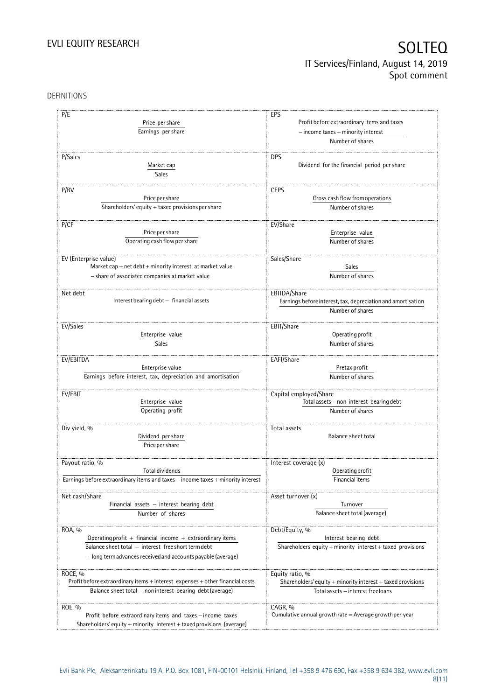DEFINITIONS

| P/E                                                                              | EPS                                                                  |
|----------------------------------------------------------------------------------|----------------------------------------------------------------------|
| Price per share                                                                  | Profit before extraordinary items and taxes                          |
|                                                                                  |                                                                      |
| Earnings per share                                                               | $-$ income taxes $+$ minority interest                               |
|                                                                                  | Number of shares                                                     |
| P/Sales                                                                          | <b>DPS</b>                                                           |
| Market cap                                                                       | Dividend for the financial period per share                          |
| Sales                                                                            |                                                                      |
|                                                                                  |                                                                      |
| P/BV                                                                             | <b>CEPS</b>                                                          |
| Price per share                                                                  | Gross cash flow from operations                                      |
| Shareholders' equity $+$ taxed provisions per share                              | Number of shares                                                     |
|                                                                                  |                                                                      |
| P/CF                                                                             | EV/Share                                                             |
| Price per share                                                                  | Enterprise value                                                     |
| Operating cash flow per share                                                    | Number of shares                                                     |
|                                                                                  |                                                                      |
| EV (Enterprise value)                                                            | Sales/Share                                                          |
| Market cap + net $debt$ + minority interest at market value                      | Sales                                                                |
| - share of associated companies at market value                                  | Number of shares                                                     |
|                                                                                  |                                                                      |
| Net debt                                                                         | EBITDA/Share                                                         |
| Interest bearing debt - financial assets                                         | Earnings before interest, tax, depreciation and amortisation         |
|                                                                                  | Number of shares                                                     |
|                                                                                  |                                                                      |
| EV/Sales                                                                         | EBIT/Share                                                           |
| Enterprise value                                                                 | Operating profit                                                     |
| Sales                                                                            | Number of shares                                                     |
|                                                                                  |                                                                      |
| EV/EBITDA                                                                        | EAFI/Share                                                           |
| Enterprise value                                                                 | Pretax profit                                                        |
| Earnings before interest, tax, depreciation and amortisation                     | Number of shares                                                     |
| EV/EBIT                                                                          | Capital employed/Share                                               |
| Enterprise value                                                                 | Total assets - non interest bearing debt                             |
| Operating profit                                                                 | Number of shares                                                     |
|                                                                                  |                                                                      |
| Div yield, %                                                                     | Total assets                                                         |
| Dividend per share                                                               | Balance sheet total                                                  |
| Price per share                                                                  |                                                                      |
|                                                                                  |                                                                      |
| Payout ratio, %                                                                  | Interest coverage (x)                                                |
| <b>Total dividends</b>                                                           | Operating profit                                                     |
| Earnings before extraordinary items and taxes - income taxes + minority interest | Financial items                                                      |
|                                                                                  |                                                                      |
| Net cash/Share                                                                   | Asset turnover (x)                                                   |
| Financial assets - interest bearing debt                                         | Turnover                                                             |
| Number of shares                                                                 | Balance sheet total (average)                                        |
|                                                                                  |                                                                      |
| ROA, %                                                                           | Debt/Equity, %                                                       |
| Operating profit $+$ financial income $+$ extraordinary items                    | Interest bearing debt                                                |
| Balance sheet total - interest free short term debt                              | Shareholders' equity + minority interest + taxed provisions          |
| - long term advances received and accounts payable (average)                     |                                                                      |
|                                                                                  |                                                                      |
| ROCE, %                                                                          | Equity ratio, %                                                      |
| Profit before extraordinary items + interest expenses + other financial costs    | Shareholders' equity $+$ minority interest $+$ taxed provisions      |
| Balance sheet total - non interest bearing debt (average)                        | Total assets - interest free loans                                   |
|                                                                                  |                                                                      |
| ROE, %                                                                           | CAGR, %<br>Cumulative annual growth rate $=$ Average growth per year |
| Profit before extraordinary items and taxes - income taxes                       |                                                                      |
| Shareholders' equity + minority interest + taxed provisions (average)            |                                                                      |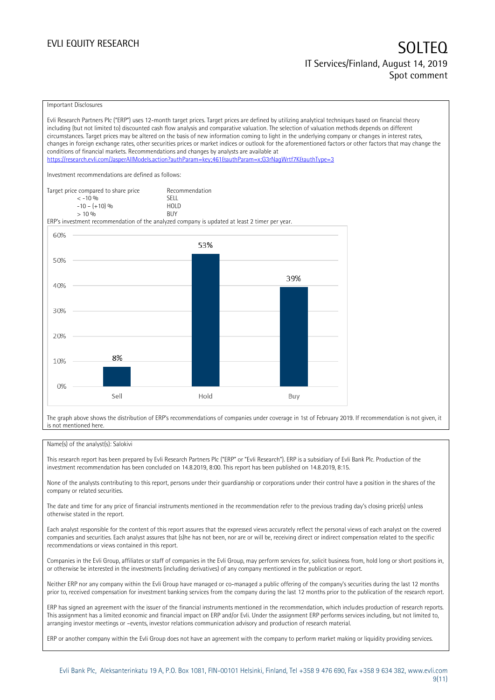### Important Disclosures

Evli Research Partners Plc ("ERP") uses 12-month target prices. Target prices are defined by utilizing analytical techniques based on financial theory including (but not limited to) discounted cash flow analysis and comparative valuation. The selection of valuation methods depends on different circumstances. Target prices may be altered on the basis of new information coming to light in the underlying company or changes in interest rates, changes in foreign exchange rates, other securities prices or market indices or outlook for the aforementioned factors or other factors that may change the conditions of financial markets. Recommendations and changes by analysts are available at <https://research.evli.com/JasperAllModels.action?authParam=key;461&authParam=x;G3rNagWrtf7K&authType=3> Investment recommendations are defined as follows: Target price compared to share price Recommendation<br>  $\leq -10\%$  $\langle 5, 10, 10 \rangle$  SELL<br> $\langle -10, 10, 10 \rangle$  SELL  $-10 - (+10) \%$  HOL<br>  $> 10 \%$  RIJY  $> 10\%$ ERP's investment recommendation of the analyzed company is updated at least 2 timer per year. 60% 53% 50% 39% 40% 30% 20% 8% 10%  $0%$ Sell Hold Buy

The graph above shows the distribution of ERP's recommendations of companies under coverage in 1st of February 2019. If recommendation is not given, it is not mentioned here.

### Name(s) of the analyst(s): Salokivi

This research report has been prepared by Evli Research Partners Plc ("ERP" or "Evli Research"). ERP is a subsidiary of Evli Bank Plc. Production of the investment recommendation has been concluded on 14.8.2019, 8:00. This report has been published on 14.8.2019, 8:15.

None of the analysts contributing to this report, persons under their guardianship or corporations under their control have a position in the shares of the company or related securities.

The date and time for any price of financial instruments mentioned in the recommendation refer to the previous trading day's closing price(s) unless otherwise stated in the report.

Each analyst responsible for the content of this report assures that the expressed views accurately reflect the personal views of each analyst on the covered companies and securities. Each analyst assures that (s)he has not been, nor are or will be, receiving direct or indirect compensation related to the specific recommendations or views contained in this report.

Companies in the Evli Group, affiliates or staff of companies in the Evli Group, may perform services for, solicit business from, hold long or short positions in, or otherwise be interested in the investments (including derivatives) of any company mentioned in the publication or report.

Neither ERP nor any company within the Evli Group have managed or co-managed a public offering of the company's securities during the last 12 months prior to, received compensation for investment banking services from the company during the last 12 months prior to the publication of the research report.

ERP has signed an agreement with the issuer of the financial instruments mentioned in the recommendation, which includes production of research reports. This assignment has a limited economic and financial impact on ERP and/or Evli. Under the assignment ERP performs services including, but not limited to, arranging investor meetings or –events, investor relations communication advisory and production of research material.

ERP or another company within the Evli Group does not have an agreement with the company to perform market making or liquidity providing services.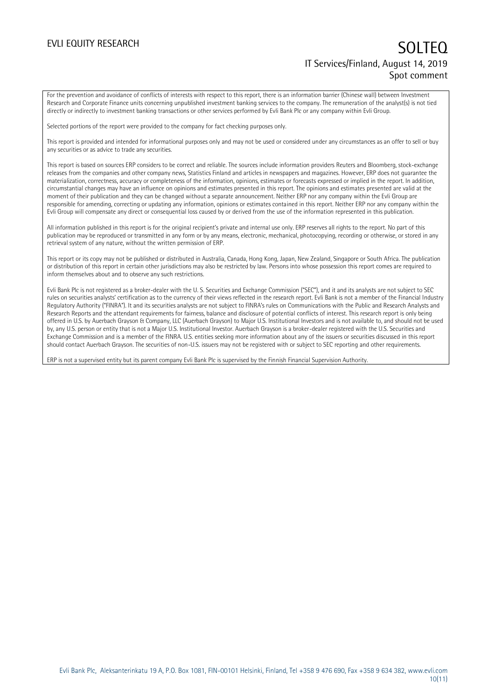For the prevention and avoidance of conflicts of interests with respect to this report, there is an information barrier (Chinese wall) between Investment Research and Corporate Finance units concerning unpublished investment banking services to the company. The remuneration of the analyst(s) is not tied directly or indirectly to investment banking transactions or other services performed by Evli Bank Plc or any company within Evli Group.

Selected portions of the report were provided to the company for fact checking purposes only.

This report is provided and intended for informational purposes only and may not be used or considered under any circumstances as an offer to sell or buy any securities or as advice to trade any securities.

This report is based on sources ERP considers to be correct and reliable. The sources include information providers Reuters and Bloomberg, stock-exchange releases from the companies and other company news, Statistics Finland and articles in newspapers and magazines. However, ERP does not guarantee the materialization, correctness, accuracy or completeness of the information, opinions, estimates or forecasts expressed or implied in the report. In addition, circumstantial changes may have an influence on opinions and estimates presented in this report. The opinions and estimates presented are valid at the moment of their publication and they can be changed without a separate announcement. Neither ERP nor any company within the Evli Group are responsible for amending, correcting or updating any information, opinions or estimates contained in this report. Neither ERP nor any company within the Evli Group will compensate any direct or consequential loss caused by or derived from the use of the information represented in this publication.

All information published in this report is for the original recipient's private and internal use only. ERP reserves all rights to the report. No part of this publication may be reproduced or transmitted in any form or by any means, electronic, mechanical, photocopying, recording or otherwise, or stored in any retrieval system of any nature, without the written permission of ERP.

This report or its copy may not be published or distributed in Australia, Canada, Hong Kong, Japan, New Zealand, Singapore or South Africa. The publication or distribution of this report in certain other jurisdictions may also be restricted by law. Persons into whose possession this report comes are required to inform themselves about and to observe any such restrictions.

Evli Bank Plc is not registered as a broker-dealer with the U. S. Securities and Exchange Commission ("SEC"), and it and its analysts are not subject to SEC rules on securities analysts' certification as to the currency of their views reflected in the research report. Evli Bank is not a member of the Financial Industry Regulatory Authority ("FINRA"). It and its securities analysts are not subject to FINRA's rules on Communications with the Public and Research Analysts and Research Reports and the attendant requirements for fairness, balance and disclosure of potential conflicts of interest. This research report is only being offered in U.S. by Auerbach Grayson & Company, LLC (Auerbach Grayson) to Major U.S. Institutional Investors and is not available to, and should not be used by, any U.S. person or entity that is not a Major U.S. Institutional Investor. Auerbach Grayson is a broker-dealer registered with the U.S. Securities and Exchange Commission and is a member of the FINRA. U.S. entities seeking more information about any of the issuers or securities discussed in this report should contact Auerbach Grayson. The securities of non-U.S. issuers may not be registered with or subject to SEC reporting and other requirements.

ERP is not a supervised entity but its parent company Evli Bank Plc is supervised by the Finnish Financial Supervision Authority.